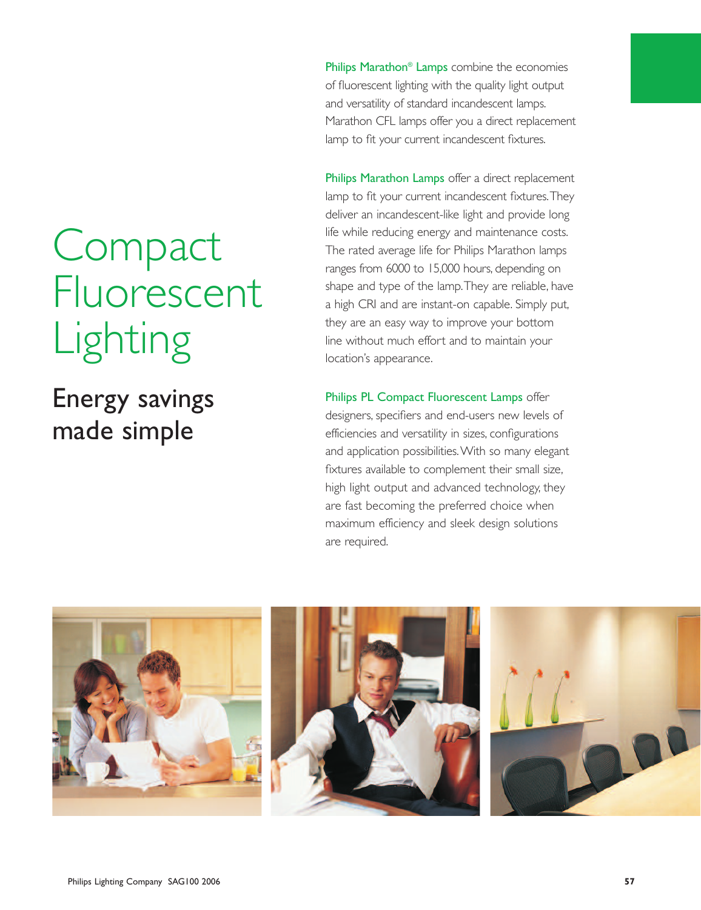**Compact** Fluorescent Lighting

Energy savings made simple

Philips Marathon<sup>®</sup> Lamps combine the economies of fluorescent lighting with the quality light output and versatility of standard incandescent lamps. Marathon CFL lamps offer you a direct replacement lamp to fit your current incandescent fixtures.

Philips Marathon Lamps offer a direct replacement lamp to fit your current incandescent fixtures.They deliver an incandescent-like light and provide long life while reducing energy and maintenance costs. The rated average life for Philips Marathon lamps ranges from 6000 to 15,000 hours, depending on shape and type of the lamp.They are reliable, have a high CRI and are instant-on capable. Simply put, they are an easy way to improve your bottom line without much effort and to maintain your location's appearance.

Philips PL Compact Fluorescent Lamps offer designers, specifiers and end-users new levels of efficiencies and versatility in sizes, configurations and application possibilities.With so many elegant fixtures available to complement their small size, high light output and advanced technology, they are fast becoming the preferred choice when maximum efficiency and sleek design solutions are required.

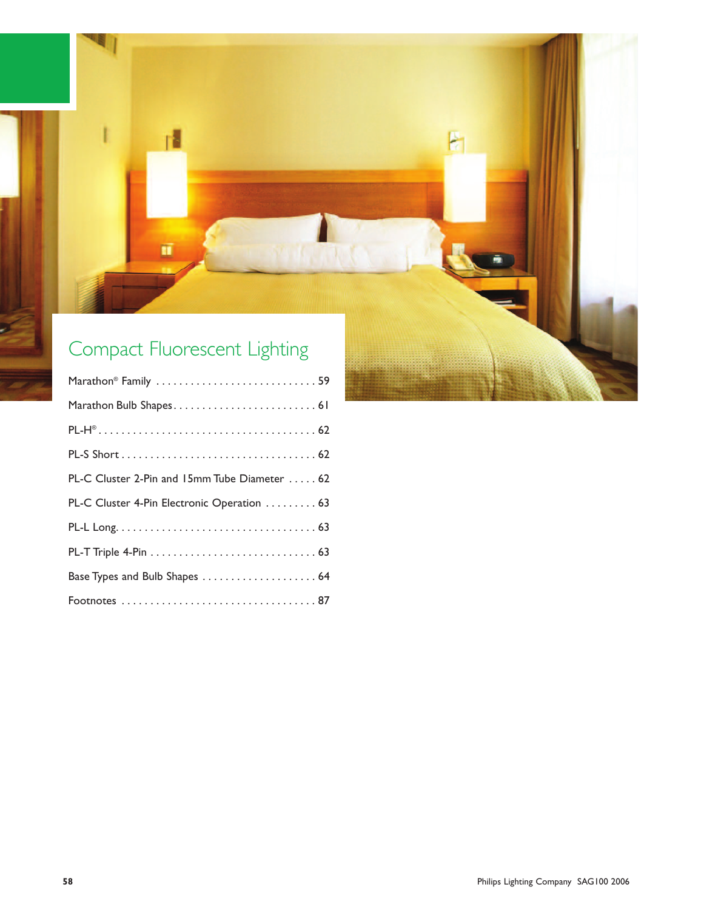

PL-H® . . . . . . . . . . . . . . . . . . . . . . . . . . . . . . . . . . . . . . 62

PL-S Short . . . . . . . . . . . . . . . . . . . . . . . . . . . . . . . . . . 62

PL-C Cluster 2-Pin and 15mm Tube Diameter . . . . . 62

PL-C Cluster 4-Pin Electronic Operation . . . . . . . . . 63

PL-L Long. . . . . . . . . . . . . . . . . . . . . . . . . . . . . . . . . . . 63

PL-T Triple 4-Pin . . . . . . . . . . . . . . . . . . . . . . . . . . . . . 63

Base Types and Bulb Shapes . . . . . . . . . . . . . . . . . . . . 64

Footnotes . . . . . . . . . . . . . . . . . . . . . . . . . . . . . . . . . . 87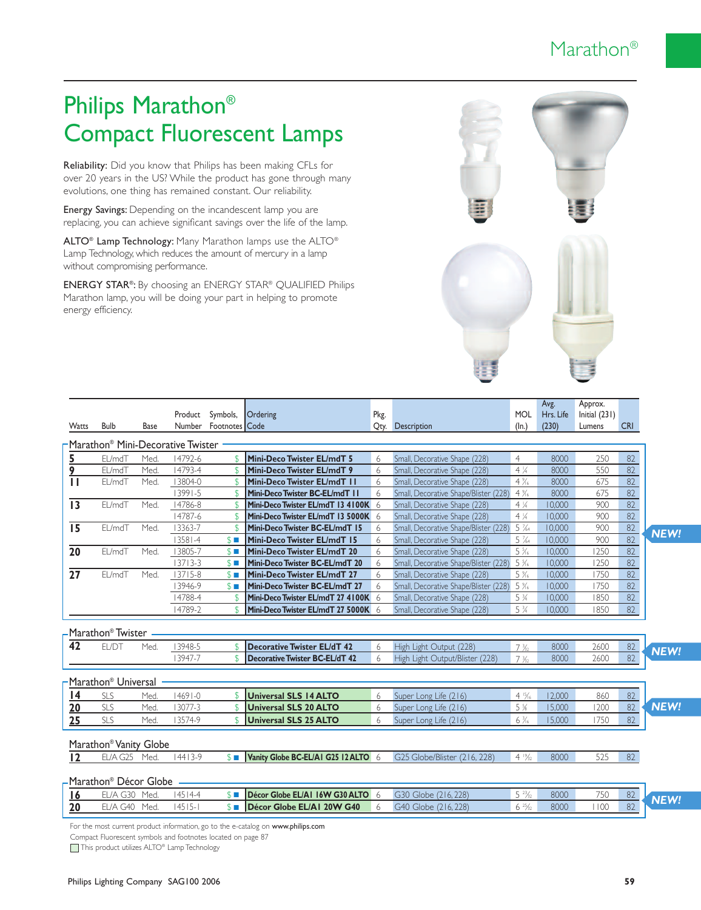### Marathon®

# Philips Marathon® Compact Fluorescent Lamps

Reliability: Did you know that Philips has been making CFLs for over 20 years in the US? While the product has gone through many evolutions, one thing has remained constant. Our reliability.

Energy Savings: Depending on the incandescent lamp you are replacing, you can achieve significant savings over the life of the lamp.

ALTO® Lamp Technology: Many Marathon lamps use the ALTO® Lamp Technology, which reduces the amount of mercury in a lamp without compromising performance.

ENERGY STAR®: By choosing an ENERGY STAR® QUALIFIED Philips Marathon lamp, you will be doing your part in helping to promote energy efficiency.



| Watts           | <b>Bulb</b>                         | <b>Base</b> | Product     | Symbols,<br>Number Footnotes Code | Ordering                              | Pkg. | <b>Oty.</b> Description               | <b>MOL</b><br>$(\ln)$         | Avg.<br>Hrs. Life<br>(230) | Approx.<br>Initial $(231)$<br>Lumens | <b>CRI</b> |             |
|-----------------|-------------------------------------|-------------|-------------|-----------------------------------|---------------------------------------|------|---------------------------------------|-------------------------------|----------------------------|--------------------------------------|------------|-------------|
|                 | Marathon® Mini-Decorative Twister - |             |             |                                   |                                       |      |                                       |                               |                            |                                      |            |             |
| 5               | EL/mdT                              | Med.        | 14792-6     |                                   | Mini-Deco Twister EL/mdT 5            | 6    | Small, Decorative Shape (228)         | $\overline{4}$                | 8000                       | 250                                  | 82         |             |
| 9               | EL/mdT                              | Med.        | 14793-4     |                                   | Mini-Deco Twister EL/mdT 9            | 6    | Small, Decorative Shape (228)         | $4\frac{1}{4}$                | 8000                       | 550                                  | 82         |             |
| Ш               | EL/mdT                              | Med.        | 13804-0     |                                   | Mini-Deco Twister EL/mdT 11           | 6    | Small, Decorative Shape (228)         | $4\%$                         | 8000                       | 675                                  | 82         |             |
|                 |                                     |             | $13991 - 5$ |                                   | Mini-Deco Twister BC-EL/mdT           | 6    | Small, Decorative Shape/Blister (228) | $4\frac{9}{16}$               | 8000                       | 675                                  | 82         |             |
| 13              | EL/mdT                              | Med.        | 14786-8     |                                   | Mini-Deco Twister EL/mdT 13 4100K 6   |      | Small, Decorative Shape (228)         | $4\frac{1}{4}$                | 10,000                     | 900                                  | 82         |             |
|                 |                                     |             | 14787-6     |                                   | Mini-Deco Twister EL/mdT 13 5000K 6   |      | Small, Decorative Shape (228)         | $4\frac{1}{4}$                | 10,000                     | 900                                  | 82         |             |
| 15              | EL/mdT                              | Med.        | 13363-7     |                                   | Mini-Deco Twister BC-EL/mdT 15        | 6    | Small, Decorative Shape/Blister (228) | $5\frac{7}{64}$               | 10,000                     | 900                                  | 82         | <b>NEW!</b> |
|                 |                                     |             | $ 358 -4$   | $$ \blacksquare$                  | Mini-Deco Twister EL/mdT 15           | 6    | Small. Decorative Shape (228)         | $5\frac{7}{64}$               | 10,000                     | 900                                  | 82         |             |
| 20              | EL/mdT                              | Med.        | 13805-7     | $S =$                             | Mini-Deco Twister EL/mdT 20           | 6    | Small, Decorative Shape (228)         | 5%                            | 10,000                     | 1250                                 | 82         |             |
|                 |                                     |             | $13713 - 3$ | $$ \blacksquare$                  | Mini-Deco Twister BC-EL/mdT 20        | 6    | Small, Decorative Shape/Blister (228) | $5\frac{5}{16}$               | 10,000                     | 250                                  | 82         |             |
| $\overline{27}$ | EL/mdT                              | Med.        | $13715 - 8$ | $$ \blacksquare$                  | <b>Mini-Deco Twister EL/mdT 27</b>    | 6    | Small, Decorative Shape (228)         | 5 %                           | 10.000                     | 1750                                 | 82         |             |
|                 |                                     |             | 13946-9     | $$ \blacksquare$                  | Mini-Deco Twister BC-EL/mdT 27        | 6    | Small, Decorative Shape/Blister (228) | 5%                            | 10.000                     | 1750                                 | 82         |             |
|                 |                                     |             | 14788-4     |                                   | Mini-Deco Twister EL/mdT 27 4100K 6   |      | Small, Decorative Shape (228)         | 5 <sup>3</sup> / <sub>4</sub> | 10,000                     | 1850                                 | 82         |             |
|                 |                                     |             | 4789-2      |                                   | Mini-Deco Twister EL/mdT 27 5000K 6   |      | Small, Decorative Shape (228)         | 5 <sup>3</sup> / <sub>4</sub> | 10,000                     | 1850                                 | 82         |             |
|                 | -Marathon <sup>®</sup> Twister      |             |             |                                   |                                       |      |                                       |                               |                            |                                      |            |             |
| 42              | EL/DT                               | Med.        | 13948-5     |                                   | <b>Decorative Twister EL/dT 42</b>    | 6    | High Light Output (228)               | $7\frac{3}{2}$                | 8000                       | 2600                                 | 82         |             |
|                 |                                     |             | 13947-7     |                                   | <b>Decorative Twister BC-EL/dT 42</b> | 6    | High Light Output/Blister (228)       | 7 <sup>3</sup>                | 8000                       | 2600                                 | 82         | NEW!        |
|                 | Marathon® Universal                 |             |             |                                   |                                       |      |                                       |                               |                            |                                      |            |             |
| $\overline{14}$ | <b>SLS</b>                          | Med.        | $4691 - 0$  |                                   | <b>Universal SLS 14 ALTO</b>          | 6    | Super Long Life (216)                 | $4\frac{15}{6}$               | 12,000                     | 860                                  | 82         |             |
| 20              | SLS                                 | Med         | 3077-3      |                                   | <b>Universal SLS 20 ALTO</b>          | 6    | Super Long Life (216)                 | 5%                            | 15,000                     | 200                                  | 82         | <b>NEW!</b> |
| 25              | <b>SLS</b>                          | Med.        | 13574-9     |                                   | <b>Universal SLS 25 ALTO</b>          | 6    | Super Long Life (216)                 | $6\frac{3}{6}$                | 15,000                     | 750                                  | 82         |             |
|                 | Marathon <sup>®</sup> Vanity Globe  |             |             |                                   |                                       |      |                                       |                               |                            |                                      |            |             |
| 12              | EL/A G25                            | Med.        | $14413-9$   | $$ \blacksquare$                  | Vanity Globe BC-EL/AI G25 12 ALTO 6   |      | G25 Globe/Blister (216, 228)          | $4\frac{19}{22}$              | 8000                       | 525                                  | 82         |             |
|                 | -Marathon® Décor Globe              |             |             |                                   |                                       |      |                                       |                               |                            |                                      |            |             |

|    | ---------- |      |                                |       |                 |      |                  |    |  |
|----|------------|------|--------------------------------|-------|-----------------|------|------------------|----|--|
|    | Mea        | 14.4 | Décor Globe EL/AI 16W G30 ALTO | 778.  | $\frac{23}{22}$ | 800C | 750<br>JU        | 82 |  |
| 20 | Med        |      | Décor Globe EL/AI 20W G40      | ∍l∩he |                 | 800C | $\overline{100}$ | 82 |  |
|    |            |      |                                |       |                 |      |                  |    |  |

For the most current product information, go to the e-catalog on www.philips.com

Compact Fluorescent symbols and footnotes located on page 87

This product utilizes ALTO<sup>®</sup> Lamp Technology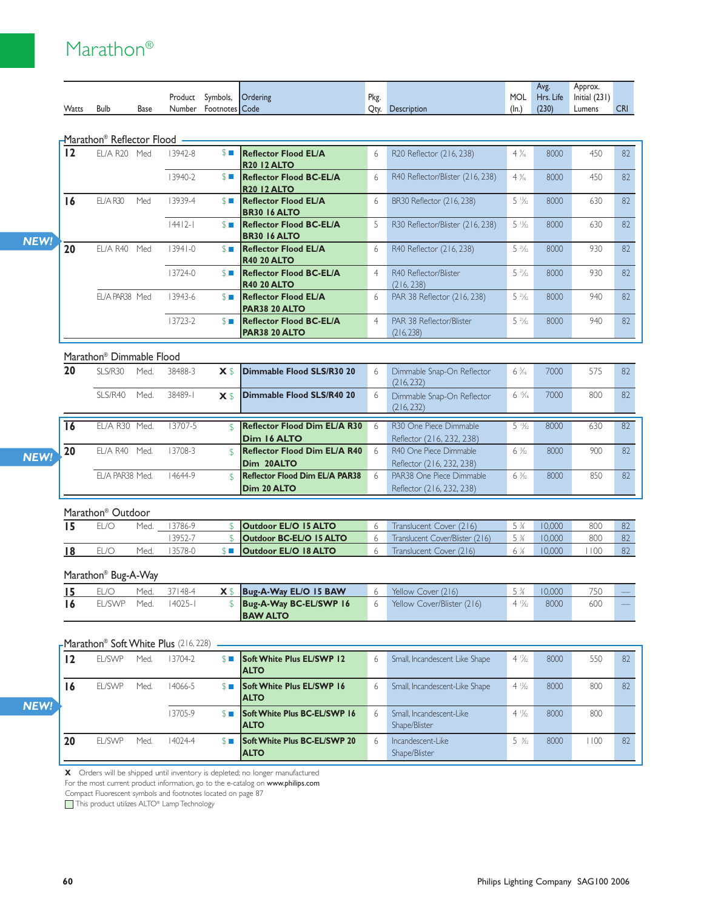### Marathon®

|              |             |      |         |                |                 |      |                    |             | Avg.      | Approx.       |            |
|--------------|-------------|------|---------|----------------|-----------------|------|--------------------|-------------|-----------|---------------|------------|
|              |             |      | Product | Symbols.       | <b>Ordering</b> | Pkg. |                    | <b>MOL</b>  | Hrs. Life | Initial (231) |            |
| <b>Watts</b> | <b>Bulb</b> | Base | Number  | Footnotes Code |                 | Oty. | <b>Description</b> | $($ ln. $)$ | (230)     | Lumens        | <b>CRI</b> |

#### Marathon® Reflector Flood

| 12 | <b>EL/A R20</b><br>Med | 13942-8     | $S =$            | <b>Reflector Flood EL/A</b><br><b>R20 12 ALTO</b>      | 6              | R20 Reflector (216, 238)               | $4\frac{9}{16}$   | 8000 | 450 | 82 |
|----|------------------------|-------------|------------------|--------------------------------------------------------|----------------|----------------------------------------|-------------------|------|-----|----|
|    |                        | 13940-2     | $S =$            | <b>Reflector Flood BC-EL/A</b><br><b>R20 12 ALTO</b>   | 6              | R40 Reflector/Blister (216, 238)       | $4\frac{9}{16}$   | 8000 | 450 | 82 |
| 16 | EL/A R30<br>Med        | 13939-4     | $S \Box$         | <b>Reflector Flood EL/A</b><br><b>BR30 16 ALTO</b>     | 6              | BR30 Reflector (216, 238)              | $5\frac{13}{22}$  | 8000 | 630 | 82 |
|    |                        | 44          | $S \blacksquare$ | <b>Reflector Flood BC-EL/A</b><br><b>BR30 16 ALTO</b>  | 5              | R30 Reflector/Blister (216, 238)       | $5\frac{13}{22}$  | 8000 | 630 | 82 |
| 20 | EL/A R40<br>Med        | $13941 - 0$ | $S \blacksquare$ | <b>Reflector Flood EL/A</b><br><b>R40 20 ALTO</b>      | 6              | R40 Reflector (216, 238)               | $5\frac{21}{32}$  | 8000 | 930 | 82 |
|    |                        | $13724 - 0$ | $S \blacksquare$ | <b>Reflector Flood BC-EL/A</b><br><b>R40 20 ALTO</b>   | $\overline{4}$ | R40 Reflector/Blister<br>(216, 238)    | $5\frac{21}{32}$  | 8000 | 930 | 82 |
|    | EL/A PAR38 Med         | 13943-6     | $S \Box$         | <b>Reflector Flood EL/A</b><br><b>PAR38 20 ALTO</b>    | 6              | PAR 38 Reflector (216, 238)            | $5\frac{21}{32}$  | 8000 | 940 | 82 |
|    |                        | 13723-2     | $S \Box$         | <b>Reflector Flood BC-EL/A</b><br><b>PAR38 20 ALTO</b> | $\overline{4}$ | PAR 38 Reflector/Blister<br>(216, 238) | $5 \frac{21}{32}$ | 8000 | 940 | 82 |

#### Marathon® Dimmable Flood

| 20 | SI S/R30         | Med. | 38488-3 |                | X \$ Dimmable Flood SLS/R30 20        | 6            | Dimmable Snap-On Reflector         | $6\frac{5}{16}$  | 7000 | 575 | 82 |
|----|------------------|------|---------|----------------|---------------------------------------|--------------|------------------------------------|------------------|------|-----|----|
|    |                  |      |         |                |                                       |              | (216, 232)                         |                  |      |     |    |
|    | SI S/R40         | Med. | 38489-1 | X <sub>s</sub> | Dimmable Flood SLS/R40 20             | 6            | Dimmable Snap-On Reflector         | $6\frac{15}{16}$ | 7000 | 800 | 82 |
|    |                  |      |         |                |                                       |              | (216, 232)                         |                  |      |     |    |
|    |                  |      |         |                |                                       |              |                                    |                  |      |     |    |
| 16 | EL/A R30         | Med. | 13707-5 |                | <b>Reflector Flood Dim EL/A R30</b>   | <sub>b</sub> | R <sub>30</sub> One Piece Dimmable | $5\frac{13}{22}$ | 8000 | 63C | 82 |
|    |                  |      |         |                | <b>Dim 16 ALTO</b>                    |              | Reflector (216, 232, 238)          |                  |      |     |    |
| 20 | FI /A R40        | Med. | 13708-3 |                | <b>Reflector Flood Dim EL/A R40</b>   | 6            | R40 One Piece Dimmable             | $6\frac{3}{22}$  | 8000 | 900 | 82 |
|    |                  |      |         |                | Dim 20ALTO                            |              | Reflector (216, 232, 238)          |                  |      |     |    |
|    | FI /A PAR38 Med. |      | 14644-9 | \$             | <b>Reflector Flood Dim EL/A PAR38</b> | 6            | PAR38 One Piece Dimmable           | $6\frac{3}{22}$  | 8000 | 850 | 82 |
|    |                  |      |         |                | <b>Dim 20 ALTO</b>                    |              | Reflector (216, 232, 238)          |                  |      |     |    |

#### Marathon® Outdoor

|  | Med. | 3786-9   | <b>Outdoor EL/O 15 ALTO</b> | Translucent Cover (216)         |        | 800 |  |
|--|------|----------|-----------------------------|---------------------------------|--------|-----|--|
|  |      | $3952 -$ | Outdoor BC-EL/O 15 ALTO     | Translucent Cover/Blister (216) |        | 800 |  |
|  | Med  | 3578-0   | <b>Outdoor EL/O 18 ALTO</b> | Translucent Cover (216)         | 10.000 |     |  |

#### Marathon® Bug-A-Way

|         | Med. | 37148-4 | $X \$   Bug-A-Way EL/O 15 BAW | Yellow Cover (216)         |                 | 10.000 | 750 | <u>— 1</u> |
|---------|------|---------|-------------------------------|----------------------------|-----------------|--------|-----|------------|
| EL/SWP- | Med. | 14025-1 | Bug-A-Way BC-EL/SWP 16        | Yellow Cover/Blister (216) | $4\frac{17}{2}$ | 8000   | 600 |            |
|         |      |         | <b>BAW ALTO</b>               |                            |                 |        |     |            |

#### FMarathon® Soft White Plus (216, 228) -

| 12 | <b>EL/SWP</b> | Med. | 13704-2     | $S \Box$ | <b>Soft White Plus EL/SWP 12</b><br><b>ALTO</b>     | 6 | Small, Incandescent Like Shape            | $4\frac{17}{2}$ | 8000 | 550  | 82 |
|----|---------------|------|-------------|----------|-----------------------------------------------------|---|-------------------------------------------|-----------------|------|------|----|
| 16 | <b>EL/SWP</b> | Med. | 14066-5     | $S \Box$ | <b>Soft White Plus EL/SWP 16</b><br><b>IALTO</b>    | 6 | Small, Incandescent-Like Shape            | $4\frac{17}{2}$ | 8000 | 800  | 82 |
|    |               |      | 13705-9     | $S \Box$ | <b>Soft White Plus BC-EL/SWP 16</b><br><b>IALTO</b> | 6 | Small, Incandescent-Like<br>Shape/Blister | $4\frac{17}{6}$ | 8000 | 800  |    |
| 20 | <b>EL/SWP</b> | Med. | $14024 - 4$ | $S \Box$ | <b>Soft White Plus BC-EL/SWP 20</b><br><b>ALTO</b>  | 6 | Incandescent-Like<br>Shape/Blister        | $5\frac{9}{22}$ | 8000 | 1100 | 82 |

**X** Orders will be shipped until inventory is depleted; no longer manufactured

For the most current product information, go to the e-catalog on www.philips.com

Compact Fluorescent symbols and footnotes located on page 87

This product utilizes ALTO® Lamp Technology

*NEW!*

*NEW!*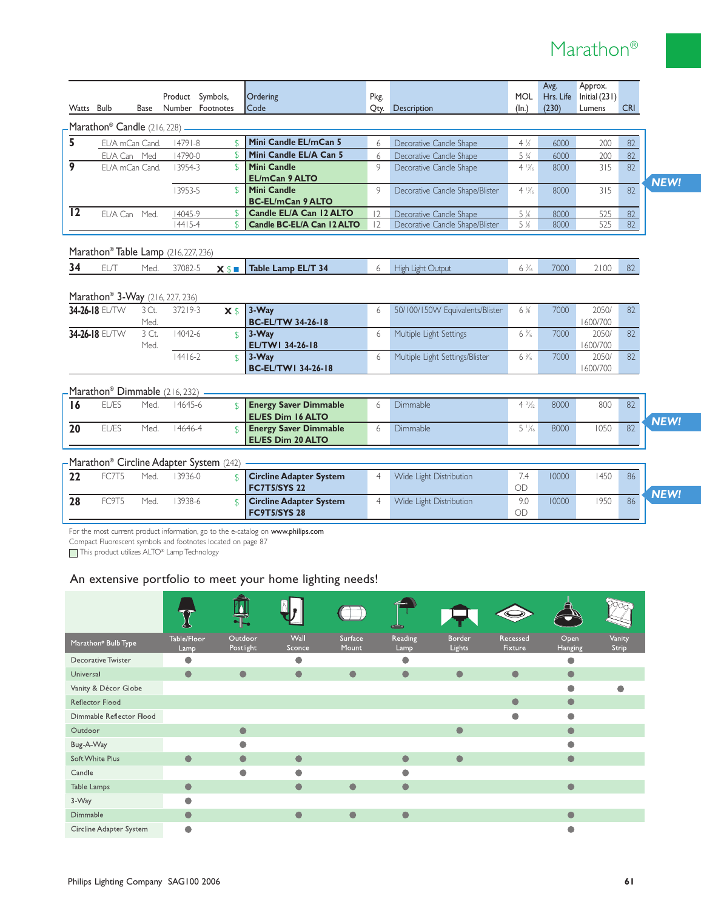### Marathon®

| Watts Bulb      |                                         | <b>Base</b>     |                                             | Product Symbols,<br>Number Footnotes                                 | Ordering<br>Code                                                                                                                                                 | Pkg.             | $Q$ ty. | Description                                | <b>MOL</b><br>$(\ln)$         | Avg.<br>Hrs. Life<br>(230) | Approx.<br>Initial (231)<br>Lumens | <b>CRI</b>      |
|-----------------|-----------------------------------------|-----------------|---------------------------------------------|----------------------------------------------------------------------|------------------------------------------------------------------------------------------------------------------------------------------------------------------|------------------|---------|--------------------------------------------|-------------------------------|----------------------------|------------------------------------|-----------------|
|                 | Marathon <sup>®</sup> Candle (216, 228) |                 |                                             |                                                                      |                                                                                                                                                                  |                  |         |                                            |                               |                            |                                    |                 |
| 5               | EL/A mCan Cand.                         |                 | $14791 - 8$                                 | $\mathsf{\$}$                                                        | Mini Candle EL/mCan 5                                                                                                                                            |                  | 6       | Decorative Candle Shape                    | $4\%$                         | 6000                       | 200                                | 82              |
|                 |                                         | EL/A Can Med    | 14790-0                                     | $\sqrt{2}$                                                           | Mini Candle EL/A Can 5                                                                                                                                           |                  | 6       | Decorative Candle Shape                    | 5 <sup>3</sup> / <sub>4</sub> | 6000                       | 200                                | 82              |
| 9               |                                         | EL/A mCan Cand. | 13954-3                                     | $\mathsf{\$}$                                                        | <b>Mini Candle</b><br><b>EL/mCan 9 ALTO</b>                                                                                                                      | 9                |         | Decorative Candle Shape                    | $4\frac{13}{16}$              | 8000                       | 315                                | 82              |
|                 |                                         |                 | 13953-5                                     | $\mathcal{L}$                                                        | <b>Mini Candle</b><br><b>BC-EL/mCan 9 ALTO</b>                                                                                                                   | 9                |         | Decorative Candle Shape/Blister            | $4\frac{13}{16}$              | 8000                       | 315                                | 82              |
| $\overline{12}$ | EL/A Can Med.                           |                 | 14045-9                                     | $\mathfrak{S}$                                                       | Candle EL/A Can 12 ALTO                                                                                                                                          | $ 2\rangle$      |         | Decorative Candle Shape                    | $5\%$                         | 8000                       | 525                                | 82              |
|                 |                                         |                 | $14415 - 4$                                 | $\mathsf{\$}$                                                        | Candle BC-EL/A Can 12 ALTO                                                                                                                                       | 2                |         | Decorative Candle Shape/Blister            | $5\%$                         | 8000                       | 525                                | 82              |
|                 |                                         |                 | Marathon® Table Lamp (216, 227, 236)        |                                                                      |                                                                                                                                                                  |                  |         |                                            |                               |                            |                                    |                 |
| 34              | EL/T                                    | Med.            | 37082-5                                     | $X$ \$                                                               | Table Lamp EL/T 34                                                                                                                                               | 6                |         | High Light Output                          | $6\frac{3}{16}$               | 7000                       | 2100                               | 82              |
|                 |                                         |                 |                                             |                                                                      |                                                                                                                                                                  |                  |         |                                            |                               |                            |                                    |                 |
|                 |                                         |                 | Marathon <sup>®</sup> 3-Way (216, 227, 236) |                                                                      |                                                                                                                                                                  |                  |         |                                            |                               |                            |                                    |                 |
|                 | 34-26-18 EL/TW                          | 3 Ct.<br>Med.   | 37219-3                                     | $X$ \$                                                               | 3-Way<br><b>BC-EL/TW 34-26-18</b>                                                                                                                                | 6                |         | 50/100/150W Equivalents/Blister            | 6%                            | 7000                       | 2050/<br>1600/700                  | 82              |
|                 | 34-26-18 EL/TW                          | 3 Ct.<br>Med.   | 14042-6                                     | $\mathcal{F}$                                                        | $3-Way$<br>EL/TWI 34-26-18                                                                                                                                       | 6                |         | Multiple Light Settings                    | $6\frac{3}{16}$               | 7000                       | 2050/<br>1600/700                  | 82              |
|                 |                                         |                 | $14416 - 2$                                 | $\mathcal{S}$                                                        | 3-Way<br><b>BC-EL/TW1 34-26-18</b>                                                                                                                               | 6                |         | Multiple Light Settings/Blister            | $6\frac{3}{16}$               | 7000                       | 2050/<br>1600/700                  | 82              |
|                 |                                         |                 | Marathon <sup>®</sup> Dimmable (216, 232)   |                                                                      |                                                                                                                                                                  |                  |         |                                            |                               |                            |                                    |                 |
| 16              | EL/ES                                   | Med.            | 14645-6                                     | $\mathcal{L}$                                                        | <b>Energy Saver Dimmable</b><br><b>EL/ES Dim 16 ALTO</b>                                                                                                         | 6                |         | <b>Dimmable</b>                            | $4\frac{3}{2}$                | 8000                       | 800                                | 82              |
| 20              | EL/ES                                   | Med.            | 14646-4                                     | $\mathcal{S}$                                                        | <b>Energy Saver Dimmable</b><br><b>EL/ES Dim 20 ALTO</b>                                                                                                         | 6                |         | Dimmable                                   | $5\frac{11}{6}$               | 8000                       | 1050                               | 82              |
|                 |                                         |                 |                                             |                                                                      |                                                                                                                                                                  |                  |         |                                            |                               |                            |                                    |                 |
|                 |                                         |                 |                                             | Marathon <sup>®</sup> Circline Adapter System (242)                  |                                                                                                                                                                  |                  |         |                                            |                               |                            |                                    |                 |
| 22              | FC7T5                                   | Med.            | 13936-0                                     | $\mathsf{\$}$                                                        | <b>Circline Adapter System</b><br><b>FC7T5/SYS 22</b>                                                                                                            | 4                |         | Wide Light Distribution                    | 7.4<br>OD                     | 10000                      | 1450                               | 86              |
| 28              | FC9T5                                   | Med.            | 13938-6                                     | $\mathcal{S}$                                                        | <b>Circline Adapter System</b><br><b>FC9T5/SYS 28</b>                                                                                                            |                  | 4       | Wide Light Distribution                    | 9.0<br>OD                     | 10000                      | 1950                               | 86              |
|                 |                                         |                 | This product utilizes ALTO® Lamp Technology | Compact Fluorescent symbols and footnotes located on page 87<br>ाती। | For the most current product information, go to the e-catalog on www.philips.com<br>An extensive portfolio to meet your home lighting needs!<br>$\overline{N}$ 1 |                  |         | $\left( \bigwedge$                         |                               | 4                          | Poog                               |                 |
|                 | Marathon <sup>®</sup> Bulb Type         |                 | Table/Floor<br>Lamp                         |                                                                      | Outdoor<br>Wall<br>Postlight<br>Sconce                                                                                                                           | Surface<br>Mount |         | Border<br>Reading<br><b>Lights</b><br>Lamp | Recessed<br>Fixture           | Open<br><b>Hanging</b>     |                                    | Vanity<br>Strip |
|                 | Decorative Twister                      |                 | $\bullet$                                   |                                                                      | $\bullet$                                                                                                                                                        |                  |         | $\bullet$                                  |                               | $\bullet$                  |                                    |                 |
| Universal       |                                         |                 | $\bullet$                                   |                                                                      | $\bullet$<br>$\bullet$                                                                                                                                           | $\bullet$        |         | $\bullet$<br>$\bullet$                     | $\bullet$                     | $\bullet$                  |                                    |                 |
|                 | Vanity & Décor Globe                    |                 |                                             |                                                                      |                                                                                                                                                                  |                  |         |                                            |                               | $\bullet$                  |                                    |                 |
|                 | Reflector Flood                         |                 |                                             |                                                                      |                                                                                                                                                                  |                  |         |                                            | $\bullet$                     | $\bullet$                  |                                    |                 |
|                 | Dimmable Reflector Flood                |                 |                                             |                                                                      |                                                                                                                                                                  |                  |         |                                            |                               | $\bullet$                  |                                    |                 |
| Outdoor         |                                         |                 |                                             |                                                                      | $\bullet$                                                                                                                                                        |                  |         | $\bullet$                                  |                               | $\bullet$                  |                                    |                 |
| Bug-A-Way       |                                         |                 |                                             |                                                                      | $\bullet$                                                                                                                                                        |                  |         |                                            |                               | $\bullet$                  |                                    |                 |
|                 | Soft White Plus                         |                 | $\bullet$                                   |                                                                      | $\bullet$<br>$\bullet$                                                                                                                                           |                  |         | $\bullet$<br>$\bullet$                     |                               | $\bullet$                  |                                    |                 |
| Candle          |                                         |                 |                                             |                                                                      | $\bullet$<br>$\bullet$                                                                                                                                           |                  |         | $\bullet$                                  |                               |                            |                                    |                 |
| Table Lamps     |                                         |                 | $\bullet$                                   |                                                                      | $\bullet$                                                                                                                                                        | $\bullet$        |         | $\bullet$                                  |                               | $\bullet$                  |                                    |                 |
| 3-Way           |                                         |                 | $\bullet$                                   |                                                                      |                                                                                                                                                                  |                  |         |                                            |                               |                            |                                    |                 |
| Dimmable        |                                         |                 | $\bullet$                                   |                                                                      | $\bullet$                                                                                                                                                        | $\bullet$        |         | $\bullet$                                  |                               | $\bullet$                  |                                    |                 |

 $\bullet$ 

Circline Adapter System

 $\bullet$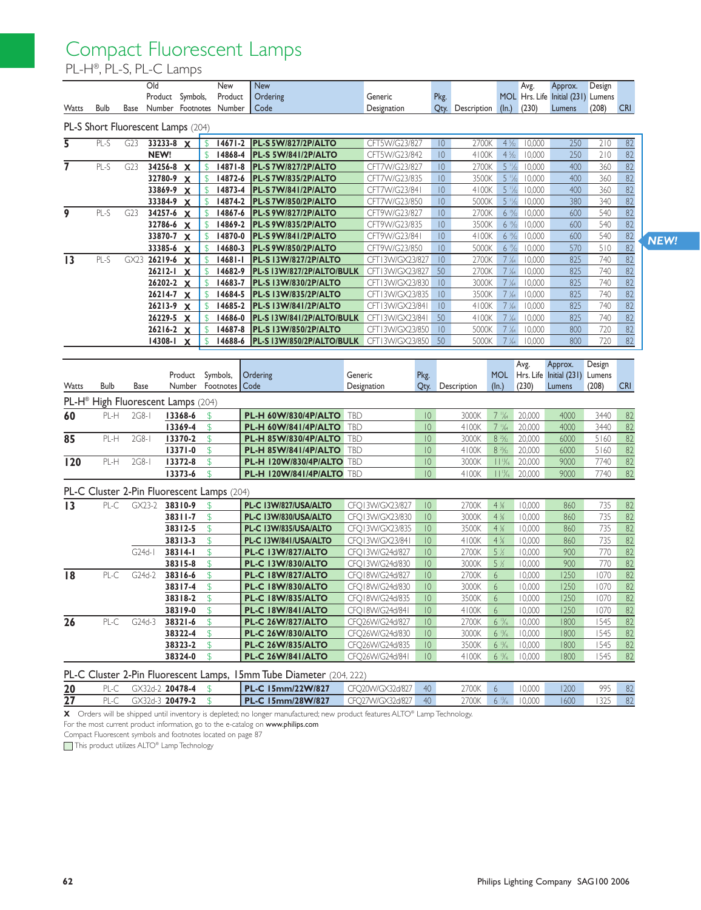### Compact Fluorescent Lamps

PL-H®, PL-S, PL-C Lamps

| Watts                   | Bulb        | Base    | Old<br>Product Symbols,                        |                    |                      | New<br>Product<br>Number Footnotes Number  | <b>New</b><br>Ordering<br>Code                             | Generic<br>Designation             | Pkg.                               | Qty. Description | (ln.)                                | Avg.<br>(230)     | Approx.<br>MOL Hrs. Life Initial (231) Lumens<br>Lumens | Design<br>(208)  | <b>CRI</b>                                                           |
|-------------------------|-------------|---------|------------------------------------------------|--------------------|----------------------|--------------------------------------------|------------------------------------------------------------|------------------------------------|------------------------------------|------------------|--------------------------------------|-------------------|---------------------------------------------------------|------------------|----------------------------------------------------------------------|
|                         |             |         | PL-S Short Fluorescent Lamps (204)             |                    |                      |                                            |                                                            |                                    |                                    |                  |                                      |                   |                                                         |                  |                                                                      |
| $\overline{\mathsf{s}}$ | $PL-S$      | G23     | $33233 - 8$ X                                  |                    | \$                   | $14671 - 2$                                | <b>PL-S 5W/827/2P/ALTO</b>                                 | CFT5W/G23/827                      | $ 0\rangle$                        | 2700K            | $4\frac{5}{22}$                      | 10,000            | 250                                                     | 210              | $\overline{82}$                                                      |
|                         |             |         | NEW!                                           |                    | $\mathbb{S}$         | 14868-4                                    | PL-S 5W/841/2P/ALTO                                        | CFT5W/G23/842                      | 10                                 | 4100K            | $4\frac{5}{32}$                      | 10,000            | 250                                                     | 210              | 82                                                                   |
| 7                       | PL-S        | G23     | 34256-8 X                                      |                    | \$                   | $14871 - 8$                                | PL-S 7W/827/2P/ALTO                                        | CFT7W/G23/827                      | 10                                 | 2700K            | $5 \frac{1}{2}$                      | 10,000            | 400                                                     | 360              | 82                                                                   |
|                         |             |         | 32780-9 X                                      |                    | \$                   | 14872-6                                    | PL-S7W/835/2P/ALTO                                         | CFT7W/G23/835                      | $\overline{10}$                    | 3500K            | $5 \frac{11}{2}$                     | 10,000            | 400                                                     | 360              | 82                                                                   |
|                         |             |         | 33869-9 X                                      |                    | $\mathsf{\$}$        | 14873-4                                    | PL-S 7W/841/2P/ALTO                                        | CFT7W/G23/841                      | 10                                 | 4100K            | $5 \frac{11}{2}$                     | 10,000            | 400                                                     | 360              | 82                                                                   |
|                         |             |         | 33384-9 X                                      |                    | $\mathbb{S}$         | 14874-2                                    | PL-S 7W/850/2P/ALTO                                        | CFT7W/G23/850                      | 10 <sup>°</sup>                    | 5000K            | $5\frac{11}{2}$                      | 10,000            | 380                                                     | 340              | 82                                                                   |
| 9                       | PL-S        | G23     | 34257-6 X                                      |                    | \$                   | 14867-6                                    | PL-S 9W/827/2P/ALTO                                        | CFT9W/G23/827                      | 10                                 | 2700K            | $6\frac{19}{22}$                     | 10,000            | 600                                                     | 540              | 82                                                                   |
|                         |             |         | 32786-6 X                                      |                    | $\mathbb{S}$         | 14869-2                                    | PL-S 9W/835/2P/ALTO                                        | CFT9W/G23/835                      | 10                                 | 3500K            | $6\frac{19}{22}$                     | 10,000            | 600                                                     | 540              | 82                                                                   |
|                         |             |         | 33870-7 X                                      |                    | $\mathbb{S}$         | 14870-0                                    | PL-S 9W/841/2P/ALTO                                        | CFT9W/G23/841                      | 10 <sup>°</sup>                    | 4100K            | $6\frac{19}{22}$                     | 10,000            | 600                                                     | 540              | 82                                                                   |
|                         |             |         | 33385-6 X                                      |                    | \$                   | 14680-3                                    | PL-S 9W/850/2P/ALTO                                        | CFT9W/G23/850                      | 10                                 | 5000K            | $6\frac{19}{22}$                     | 10,000            | 570                                                     | 510              | 82                                                                   |
| 13                      | $PL-S$      | GX23    | 26219-6 X                                      |                    | $\mathsf S$          | $14681 - 1$                                | <b>PL-S 13W/827/2P/ALTO</b>                                | CFT13W/GX23/827                    | 10                                 | 2700K            | $7\frac{1}{64}$                      | 10,000            | 825                                                     | 740              | 82                                                                   |
|                         |             |         | 26212-1 X                                      |                    | $\mathsf{\$}$        | 14682-9                                    | PL-S 13W/827/2P/ALTO/BULK                                  | CFT13W/GX23/827                    | 50                                 | 2700K            | $7\frac{1}{64}$                      | 10,000            | 825                                                     | 740              | 82                                                                   |
|                         |             |         | 26202-2 X<br>26214-7 X                         |                    | \$<br>$\mathbb{S}$   | 14683-7<br>14684-5                         | <b>PL-S 13W/830/2P/ALTO</b>                                | CFT13W/GX23/830<br>CFT13W/GX23/835 | $ 0\rangle$<br>10                  | 3000K            | $7\frac{1}{64}$                      | 10,000            | 825<br>825                                              | 740<br>740       | 82<br>82                                                             |
|                         |             |         | 26213-9 X                                      |                    | $\mathbb{S}$         | 14685-2                                    | <b>PL-S 13W/835/2P/ALTO</b><br><b>PL-S 13W/841/2P/ALTO</b> |                                    | $\overline{10}$                    | 3500K<br>4100K   | $7\frac{1}{64}$<br>$7\frac{1}{64}$   | 10,000<br>10,000  | 825                                                     | 740              |                                                                      |
|                         |             |         | 26229-5 X                                      |                    | \$                   | 14686-0                                    | PL-S 13W/841/2P/ALTO/BULK                                  | CFT13W/GX23/841<br>CFT13W/GX23/841 | 50                                 | 4100K            | $7\frac{1}{64}$                      | 10,000            | 825                                                     | 740              | 82<br>82                                                             |
|                         |             |         | $26216 - 2 \times$                             |                    | $\mathsf S$          | 14687-8                                    | <b>PL-S 13W/850/2P/ALTO</b>                                | CFT13W/GX23/850                    | $ 0\rangle$                        | 5000K            | $7\frac{1}{64}$                      | 10,000            | 800                                                     | 720              | 82                                                                   |
|                         |             |         | 14308-1 X                                      |                    | \$                   | 14688-6                                    | PL-S 13W/850/2P/ALTO/BULK                                  | CFT13W/GX23/850                    | 50                                 | 5000K            | $7\frac{1}{64}$                      | 10,000            | 800                                                     | 720              | 82                                                                   |
|                         |             |         |                                                |                    |                      |                                            |                                                            |                                    |                                    |                  |                                      |                   |                                                         |                  |                                                                      |
|                         |             |         |                                                |                    |                      |                                            |                                                            |                                    |                                    |                  |                                      |                   |                                                         |                  |                                                                      |
|                         |             |         |                                                | Product            |                      | Symbols,                                   | Ordering                                                   | Generic                            | Pkg.                               |                  | <b>MOL</b>                           | Avg.<br>Hrs. Life | Approx.<br>Initial $(231)$                              | Design<br>Lumens |                                                                      |
| Watts                   | <b>Bulb</b> | Base    |                                                | <b>Number</b>      |                      | Footnotes                                  | Code                                                       | Designation                        | Qty.                               | Description      | (ln.)                                | (230)             | Lumens                                                  | (208)            |                                                                      |
|                         |             |         | PL-H <sup>®</sup> High Fluorescent Lamps (204) |                    |                      |                                            |                                                            |                                    |                                    |                  |                                      |                   |                                                         |                  | <b>CRI</b>                                                           |
|                         | PL-H        | $2G8-I$ |                                                | 13368-6            | \$                   |                                            | PL-H 60W/830/4P/ALTO                                       | <b>TBD</b>                         | $ 0\rangle$                        | 3000K            | $7\frac{11}{64}$                     | 20,000            | 4000                                                    | 3440             |                                                                      |
| 60                      |             |         |                                                | 13369-4            | $\mathfrak{F}$       |                                            | <b>PL-H 60W/841/4P/ALTO</b>                                | <b>TBD</b>                         | $ 0\rangle$                        | 4100K            | $7\frac{11}{64}$                     | 20,000            | 4000                                                    | 3440             |                                                                      |
|                         | PL-H        | $2G8-I$ |                                                | 13370-2            | $\mathfrak{F}$       |                                            | <b>PL-H 85W/830/4P/ALTO</b>                                | <b>TBD</b>                         | $ 0\rangle$                        | 3000K            | $8 \frac{25}{32}$                    | 20,000            | 6000                                                    | 5160             |                                                                      |
| $\overline{85}$         |             |         |                                                | 13371-0            | \$                   |                                            | <b>PL-H 85W/841/4P/ALTO</b>                                | <b>TBD</b>                         | $ 0\rangle$                        | 4100K            | $8^{25}/22$                          | 20,000            | 6000                                                    | 5160             |                                                                      |
| $\overline{120}$        | PL-H        | 2G8-1   |                                                | 13372-8            | $\mathfrak{D}$       |                                            | <b>PL-H 120W/830/4P/ALTO TBD</b>                           |                                    | $ 0\rangle$                        | 3000K            | $11\frac{13}{6}$                     | 20,000            | 9000                                                    | 7740             |                                                                      |
|                         |             |         |                                                | 13373-6            | \$                   |                                            | <b>PL-H 120W/841/4P/ALTO TBD</b>                           |                                    | $ 0\rangle$                        | 4100K            | $11\%$                               | 20,000            | 9000                                                    | 7740             |                                                                      |
|                         |             |         |                                                |                    |                      |                                            |                                                            |                                    |                                    |                  |                                      |                   |                                                         |                  |                                                                      |
|                         |             |         |                                                |                    |                      | PL-C Cluster 2-Pin Fluorescent Lamps (204) |                                                            |                                    |                                    |                  |                                      |                   |                                                         |                  |                                                                      |
|                         | $PL-C$      |         | $GX23-2$                                       | 38310-9            | $\mathfrak{L}$       |                                            | PL-C 13W/827/USA/ALTO                                      | CFQ13W/GX23/827                    | $ 0\rangle$                        | 2700K            | 4%                                   | 10,000            | 860                                                     | 735              |                                                                      |
| 13                      |             |         |                                                | 38311-7            | $\mathfrak{L}$       |                                            | PL-C 13W/830/USA/ALTO                                      | CFQ13W/GX23/830                    | $ 0\rangle$                        | 3000K            | 4%                                   | 10,000            | 860                                                     | 735              |                                                                      |
|                         |             |         |                                                | 38312-5            | \$                   |                                            | PL-C 13W/835/USA/ALTO                                      | CFO13W/GX23/835                    | $ 0\rangle$                        | 3500K            | 4%                                   | 10,000            | 860                                                     | 735              |                                                                      |
|                         |             |         |                                                | 38313-3            | \$                   |                                            | PL-C 13W/841/USA/ALTO                                      | CFQ13W/GX23/841                    | $ 0\rangle$                        | 4100K            | 4%                                   | 10,000            | 860                                                     | 735              |                                                                      |
|                         |             |         | $G24d-1$                                       | 38314-1            | \$                   |                                            | PL-C 13W/827/ALTO                                          | CFQ13W/G24d/827                    | $ 0\rangle$                        | 2700K            | 5 %                                  | 10,000            | 900                                                     | 770              |                                                                      |
|                         |             |         |                                                | 38315-8            | \$                   |                                            | PL-C 13W/830/ALTO                                          | CFO13W/G24d/830                    | $ 0\rangle$<br>$ 0\rangle$         | 3000K            | $5\%$                                | 10,000            | 900                                                     | 770              | 82<br>82<br>82<br>82<br>82<br>82<br>82<br>82<br>82<br>82<br>82<br>82 |
| 18                      | PL-C        |         | G24d-2                                         | 38316-6            | \$                   |                                            | <b>PL-C 18W/827/ALTO</b>                                   | CFQ18W/G24d/827                    |                                    | 2700K            | 6                                    | 10,000            | 1250                                                    | 1070             |                                                                      |
|                         |             |         |                                                | 38317-4            | $\frac{1}{2}$        |                                            | <b>PL-C 18W/830/ALTO</b>                                   | CFQ18W/G24d/830                    | $ 0\rangle$                        | 3000K 6          |                                      | 10,000            | 1250                                                    | 1070             |                                                                      |
|                         |             |         |                                                | 38318-2 \$         | \$                   |                                            | <b>PL-C 18W/835/ALTO</b>                                   | CFQ18W/G24d/835                    | $\overline{10}$<br>10              | 3500K            | 6                                    | 10,000            | 1250<br>1250                                            | 1070             |                                                                      |
|                         |             |         |                                                | 38319-0            | $\mathfrak{D}$       |                                            | PL-C 18W/841/ALTO                                          | CFQ18W/G24d/841                    |                                    | 4100K            | 6                                    | 10,000            |                                                         | 1070             |                                                                      |
| 26                      | $PL-C$      |         | G24d-3                                         | 38321-6            |                      |                                            | <b>PL-C 26W/827/ALTO</b>                                   | CFQ26W/G24d/827                    | $ 0\rangle$                        | 2700K            | $6\frac{13}{16}$                     | 10,000            | 1800                                                    | 1545             |                                                                      |
|                         |             |         |                                                | 38322-4<br>38323-2 | $\mathfrak{F}$<br>\$ |                                            | <b>PL-C 26W/830/ALTO</b><br><b>PL-C 26W/835/ALTO</b>       | CFQ26W/G24d/830<br>CFQ26W/G24d/835 | $\overline{10}$<br>$\overline{10}$ | 3000K<br>3500K   | $6\frac{13}{16}$<br>$6\frac{13}{16}$ | 10,000<br>10,000  | 1800<br>1800                                            | 1545<br>1545     | 82<br>82<br>- 82<br>82<br>82<br>82<br>82                             |

|    |          |                      | <b>FL-C Cluster Z-Fin Fluorescent Lamps, Tomm Tube Diameter</b> (204, 222) |                  |       |         |                  |      |     |  |
|----|----------|----------------------|----------------------------------------------------------------------------|------------------|-------|---------|------------------|------|-----|--|
| 20 | $PI - C$ | $GX32d-2$ 20478-4 \$ | <b>PL-C 15mm/22W/827</b>                                                   | CFO20W/GX32d/827 | $-40$ | 2700K 6 | 10,000           | 1200 | 995 |  |
|    |          | GX32d-3 20479-2 \$   | <b>PL-C 15mm/28W/827</b>                                                   | CFO27W/GX32d/827 | $-40$ |         | 2700K 6 % 10.000 | 1600 |     |  |
|    |          |                      |                                                                            |                  |       |         |                  |      |     |  |

**X** Orders will be shipped until inventory is depleted; no longer manufactured; new product features ALTO® Lamp Technology.

For the most current product information, go to the e-catalog on www.philips.com

Compact Fluorescent symbols and footnotes located on page 87

This product utilizes ALTO® Lamp Technology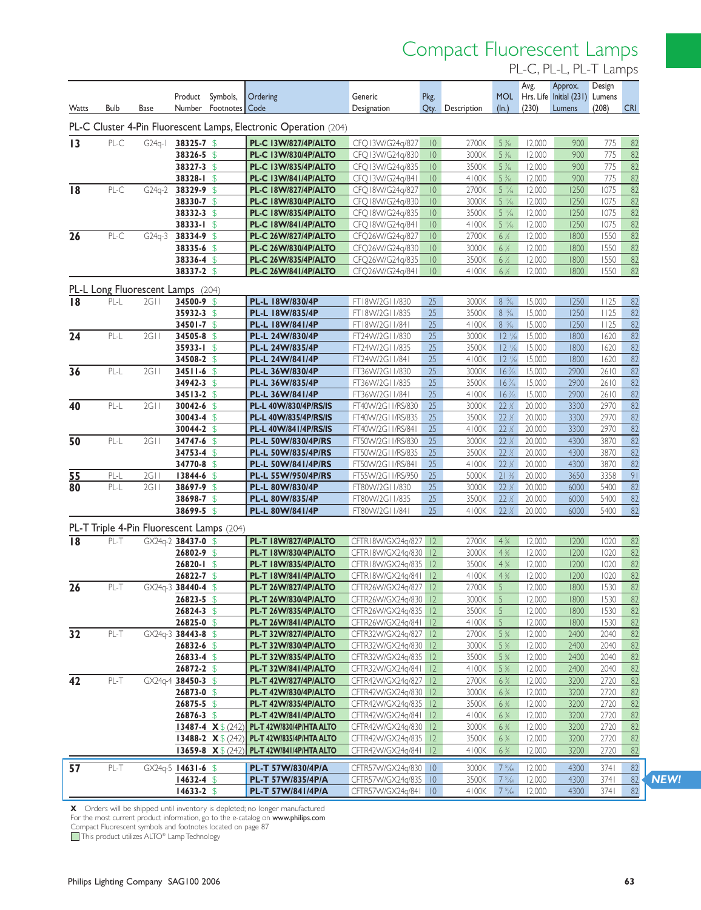## Compact Fluorescent Lamps

PL-C, PL-L, PL-T Lamps

|                 |             |                             |                              |                                           |                                                                          |                                              |                            |                |                                    | Avg.             | Approx.                                      | Design       |                       |
|-----------------|-------------|-----------------------------|------------------------------|-------------------------------------------|--------------------------------------------------------------------------|----------------------------------------------|----------------------------|----------------|------------------------------------|------------------|----------------------------------------------|--------------|-----------------------|
| Watts           | <b>Bulb</b> | Base                        | Product<br>Number            | Symbols,<br>Footnotes                     | Ordering<br>Code                                                         | Generic<br>Designation                       | Pkg.<br>Qty.               | Description    | $(\ln.)$                           | (230)            | MOL Hrs. Life Initial (231) Lumens<br>Lumens | (208)        | <b>CRI</b>            |
|                 |             |                             |                              |                                           | PL-C Cluster 4-Pin Fluorescent Lamps, Electronic Operation (204)         |                                              |                            |                |                                    |                  |                                              |              |                       |
|                 |             |                             |                              |                                           |                                                                          |                                              |                            |                |                                    |                  |                                              |              |                       |
| 13              | PL-C        | $G24q-1$                    | 38325-7 \$<br>38326-5 \$     |                                           | <b>PL-C 13W/827/4P/ALTO</b><br>PL-C 13W/830/4P/ALTO                      | CFQ13W/G24q/827<br>CFQ13W/G24q/830           | $ 0\rangle$<br>$ 0\rangle$ | 2700K<br>3000K | $5\frac{3}{16}$<br>$5\frac{3}{16}$ | 12,000<br>12,000 | 900<br>900                                   | 775<br>775   | 82                    |
|                 |             |                             | 38327-3 \$                   |                                           | <b>PL-C 13W/835/4P/ALTO</b>                                              | CFQ13W/G24q/835                              | $ 0\rangle$                | 3500K          | $5\frac{3}{16}$                    | 12,000           | 900                                          | 775          | 82<br>82              |
|                 |             |                             | 38328-1 \$                   |                                           | <b>PL-C 13W/841/4P/ALTO</b>                                              | CFQ13W/G24q/841                              | $ 0\rangle$                | 4100K          | $5\frac{3}{16}$                    | 12,000           | 900                                          | 775          | 82                    |
| 18              | PL-C        | $G24q-2$                    | 38329-9 \$                   |                                           | <b>PL-C 18W/827/4P/ALTO</b>                                              | CFQ18W/G24q/827                              | $ 0\rangle$                | 2700K          | $5\frac{1}{6}$                     | 12,000           | 1250                                         | 1075         | 82                    |
|                 |             |                             | 38330-7 \$                   |                                           | PL-C 18W/830/4P/ALTO                                                     | CFO18W/G24g/830                              | $ 0\rangle$                | 3000K          | $5\frac{11}{6}$                    | 12,000           | 1250                                         | 1075         | 82                    |
|                 |             |                             | 38332-3 \$                   |                                           | <b>PL-C 18W/835/4P/ALTO</b>                                              | CFQ18W/G24q/835                              | $ 0\rangle$                | 3500K          | $5\frac{11}{6}$                    | 12,000           | 1250                                         | 1075         | 82                    |
|                 |             |                             | 38333-I \$                   |                                           | <b>PL-C 18W/841/4P/ALTO</b>                                              | CFQ18W/G24q/841                              | 10                         | 4100K          | $5\frac{1}{6}$                     | 12,000           | 1250                                         | 1075         | 82                    |
| 26              | $PL-C$      | $G24q-3$                    | 38334-9 \$                   |                                           | <b>PL-C 26W/827/4P/ALTO</b>                                              | CFQ26W/G24g/827                              | $ 0\rangle$                | 2700K          | 6 %                                | 12,000           | 1800                                         | 1550         | 82                    |
|                 |             |                             | 38335-6 \$                   |                                           | <b>PL-C 26W/830/4P/ALTO</b>                                              | CFQ26W/G24q/830                              | $ 0\rangle$                | 3000K          | 6 %                                | 12,000           | 1800                                         | 1550         | 82                    |
|                 |             |                             | 38336-4 \$                   |                                           | PL-C 26W/835/4P/ALTO                                                     | CFQ26W/G24q/835                              | $ 0\rangle$                | 3500K          | 6 %                                | 12,000           | 1800                                         | 1550         | 82                    |
|                 |             |                             | 38337-2 \$                   |                                           | <b>PL-C 26W/841/4P/ALTO</b>                                              | CFQ26W/G24q/841                              | $ 0\rangle$                | 4100K          | 6 %                                | 12,000           | 1800                                         | 1550         | 82                    |
|                 |             | PL-L Long Fluorescent Lamps |                              | (204)                                     |                                                                          |                                              |                            |                |                                    |                  |                                              |              |                       |
| 18              | PL-L        | 2G11                        | 34500-9 \$                   |                                           | PL-L 18W/830/4P                                                          | FT18W/2G11/830                               | 25                         | 3000K          | $8\frac{15}{16}$                   | 15,000           | 1250                                         | 1125         | 82                    |
|                 |             |                             | 35932-3 \$                   |                                           | PL-L 18W/835/4P                                                          | FT18W/2G11/835                               | 25                         | 3500K          | $8\frac{15}{16}$                   | 15,000           | 1250                                         | 1125         | 82                    |
|                 |             |                             | 34501-7 \$                   |                                           | PL-L 18W/841/4P                                                          | FT18W/2G11/841                               | 25                         | 4100K          | $8\frac{15}{6}$                    | 15,000           | 1250                                         | 1125         | 82                    |
| 24              | PL-L        | 2G11                        | 34505-8 \$                   |                                           | PL-L 24W/830/4P                                                          | FT24W/2G11/830                               | 25                         | 3000K          | $12\frac{1}{6}$                    | 15,000           | 1800                                         | 1620         | 82                    |
|                 |             |                             | 35933-1 \$                   |                                           | PL-L 24W/835/4P                                                          | FT24W/2G11/835                               | 25                         | 3500K          | $12\frac{11}{6}$                   | 15,000           | 1800                                         | 1620         | 82                    |
|                 | PL-L        | 2G11                        | 34508-2 \$                   |                                           | PL-L 24W/841/4P                                                          | FT24W/2G11/841                               | 25<br>25                   | 4100K<br>3000K | $12\frac{1}{6}$<br>$16\frac{7}{6}$ | 15,000<br>15,000 | 1800<br>2900                                 | 1620<br>2610 | 82<br>$\overline{82}$ |
| 36              |             |                             | 34511-6 \$<br>34942-3 \$     |                                           | PL-L 36W/830/4P<br>PL-L 36W/835/4P                                       | FT36W/2G11/830<br>FT36W/2G11/835             | 25                         | 3500K          | $16\frac{7}{6}$                    | 15,000           | 2900                                         | 2610         | 82                    |
|                 |             |                             | 34513-2 \$                   |                                           | PL-L 36W/841/4P                                                          | FT36W/2G11/841                               | 25                         | 4100K          | $16\frac{7}{6}$                    | 15,000           | 2900                                         | 2610         | 82                    |
| 40              | PL-L        | 2G11                        | 30042-6 \$                   |                                           | PL-L 40W/830/4P/RS/IS                                                    | FT40W/2G11/RS/830                            | 25                         | 3000K          | 22 %                               | 20,000           | 3300                                         | 2970         | $\overline{82}$       |
|                 |             |                             | 30043-4 \$                   |                                           | PL-L 40W/835/4P/RS/IS                                                    | FT40W/2G11/RS/835                            | 25                         | 3500K          | 22%                                | 20,000           | 3300                                         | 2970         | 82                    |
|                 |             |                             | 30044-2 \$                   |                                           | <b>PL-L 40W/841/4P/RS/IS</b>                                             | FT40W/2G11/RS/841                            | 25                         | 4100K          | 22%                                | 20,000           | 3300                                         | 2970         | 82                    |
| 50              | PL-L        | 2G11                        | 34747-6 \$                   |                                           | PL-L 50W/830/4P/RS                                                       | FT50W/2G11/RS/830                            | 25                         | 3000K          | 22 %                               | 20,000           | 4300                                         | 3870         | $\overline{82}$       |
|                 |             |                             | 34753-4 \$                   |                                           | PL-L 50W/835/4P/RS                                                       | FT50W/2G11/RS/835                            | 25                         | 3500K          | 22 %                               | 20,000           | 4300                                         | 3870         | 82                    |
|                 |             |                             | 34770-8 \$                   |                                           | <b>PL-L 50W/841/4P/RS</b>                                                | FT50W/2G11/RS/841                            | 25                         | 4100K          | 22%                                | 20,000           | 4300                                         | 3870         | 82                    |
| <u>55</u>       | PL-L        | 2G <sub>1</sub>             | 13844-6                      | $\mathfrak{F}$                            | PL-L 55W/950/4P/RS                                                       | FT55W/2G11/RS/950                            | 25                         | 5000K          | 21%                                | 20,000           | 3650                                         | 3358         | $\overline{91}$       |
| 80              | $PL-L$      | 2G11                        | 38697-9 \$                   |                                           | PL-L 80W/830/4P                                                          | FT80W/2G11/830                               | 25                         | 3000K          | 22%                                | 20,000           | 6000                                         | 5400         | $\overline{82}$       |
|                 |             |                             | 38698-7 \$                   |                                           | PL-L 80W/835/4P                                                          | FT80W/2G11/835                               | 25                         | 3500K          | 22%                                | 20,000           | 6000                                         | 5400         | 82                    |
|                 |             |                             | 38699-5 \$                   |                                           | PL-L 80W/841/4P                                                          | FT80W/2G11/841                               | 25                         | 4100K          | 22%                                | 20,000           | 6000                                         | 5400         | 82                    |
|                 |             |                             |                              | PL-T Triple 4-Pin Fluorescent Lamps (204) |                                                                          |                                              |                            |                |                                    |                  |                                              |              |                       |
| $\overline{18}$ | PL-T        |                             | GX24q-2 38437-0 \$           |                                           | PL-T 18W/827/4P/ALTO                                                     | CFTR18W/GX24q/827                            | 2                          | 2700K<br>3000K | 4%<br>4%                           | 12,000<br>12,000 | 1200<br>1200                                 | 1020         | 82                    |
|                 |             |                             | $26802 - 9$ \$<br>26820-1 \$ |                                           | PL-T 18W/830/4P/ALTO<br><b>PL-T 18W/835/4P/ALTO</b>                      | CFTR18W/GX24q/830<br>CFTR18W/GX24q/835       | 12<br> 2                   | 3500K          | 4%                                 | 12,000           | 1200                                         | 1020<br>1020 | 82<br>82              |
|                 |             |                             | $26822 - 7$ \$               |                                           | PL-T 18W/841/4P/ALTO                                                     | CFTR18W/GX24q/841                            | 2                          | 4100K          | 4%                                 | 12,000           | 1200                                         | 1020         | 82                    |
| $\overline{26}$ | PL-T        |                             | GX24g-3 38440-4 \$           |                                           | PL-T 26W/827/4P/ALTO                                                     | CFTR26W/GX24g/827                            | 2                          | 2700K          | 5                                  | 12,000           | 1800                                         | 1530         | 82                    |
|                 |             |                             | $26823 - 5$ \$               |                                           | PL-T 26W/830/4P/ALTO                                                     | CFTR26W/GX24q/830 12                         |                            | 3000K 5        |                                    | 12,000           | 1800                                         |              | 1530 82               |
|                 |             |                             | $26824 - 3$ \$               |                                           | <b>PL-T 26W/835/4P/ALTO</b>                                              | CFTR26W/GX24q/835 12                         |                            | 3500K          | 5                                  | 12,000           | 1800                                         | 1530         | 82                    |
|                 |             |                             | $26825 - 0$ \$               |                                           | PL-T 26W/841/4P/ALTO                                                     | CFTR26W/GX24q/841   12                       |                            | 4100K          | 5                                  | 12,000           | 1800                                         | 1530         | 82                    |
| 32              | PL-T        |                             | $GX24q-3$ 38443-8 \$         |                                           | <b>PL-T 32W/827/4P/ALTO</b>                                              | CFTR32W/GX24q/827   12                       |                            | 2700K          | 5%                                 | 12,000           | 2400                                         | 2040         | 82                    |
|                 |             |                             | $26832 - 6$ \$               |                                           | <b>PL-T 32W/830/4P/ALTO</b>                                              | CFTR32W/GX24q/830 12                         |                            | 3000K          | 5%                                 | 12,000           | 2400                                         | 2040         | 82                    |
|                 |             |                             | $26833 - 4$ \$               |                                           | <b>PL-T 32W/835/4P/ALTO</b>                                              | CFTR32W/GX24q/835 12                         |                            | 3500K          | 5%                                 | 12,000           | 2400                                         | 2040         | 82                    |
|                 |             |                             | $26872 - 2$ \$               |                                           | <b>PL-T 32W/841/4P/ALTO</b>                                              | CFTR32W/GX24q/841 12                         |                            | 4100K          | 5%                                 | 12,000           | 2400                                         | 2040         | 82                    |
| 42              | PL-T        |                             | $GX24q-4$ 38450-3 \$         |                                           | <b>PL-T 42W/827/4P/ALTO</b>                                              | CFTR42W/GX24q/827 12                         |                            | 2700K          | 6%                                 | 12,000           | 3200                                         | 2720         | 82                    |
|                 |             |                             | $26873 - 0$ \$               |                                           | <b>PL-T 42W/830/4P/ALTO</b>                                              | CFTR42W/GX24q/830 12                         |                            | 3000K          | 6%                                 | 12,000           | 3200                                         | 2720         | 82                    |
|                 |             |                             | $26875 - 5$ \$               |                                           | <b>PL-T 42W/835/4P/ALTO</b>                                              | CFTR42W/GX24q/835 12                         |                            | 3500K          | 6%                                 | 12,000           | 3200                                         | 2720         | 82                    |
|                 |             |                             | 26876-3 $$$                  |                                           | <b>PL-T 42W/841/4P/ALTO</b>                                              | CFTR42W/GX24q/841 12                         |                            | 4100K          | 6%                                 | 12,000           | 3200                                         | 2720         | 82                    |
|                 |             |                             |                              | 13487-4 $X$ \$ (242)                      | PL-T 42W/830/4P/HTA ALTO<br>13488-2 $X \$ (242) PL-T 42W/835/4P/HTA ALTO | CFTR42W/GX24q/830 12<br>CFTR42W/GX24q/835 12 |                            | 3000K<br>3500K | 6%<br>6%                           | 12,000<br>12,000 | 3200<br>3200                                 | 2720<br>2720 | 82<br>82              |
|                 |             |                             |                              |                                           | 13659-8 X \$ (242) PL-T 42W/841/4P/HTA ALTO                              | CFTR42W/GX24q/841 12                         |                            | 4100K          | 6%                                 | 12,000           | 3200                                         | 2720         | 82                    |
| $\overline{57}$ | $PL-T$      |                             | $GX24q-5$ 14631-6 \$         |                                           | PL-T 57W/830/4P/A                                                        | CFTR57W/GX24q/830 10                         |                            | 3000K          | 7 <sup>5</sup> / <sub>64</sub>     | 12,000           | 4300                                         | 3741         | 82                    |
|                 |             |                             | $14632 - 4$ \$               |                                           | PL-T 57W/835/4P/A                                                        | CFTR57W/GX24q/835 10                         |                            | 3500K          | $7\frac{51}{64}$                   | 12,000           | 4300                                         | 3741         | 82                    |
|                 |             |                             | $14633 - 2$ \$               |                                           | PL-T 57W/841/4P/A                                                        | CFTR57W/GX24q/841 10                         |                            | 4100K          | $7\frac{5}{64}$                    | 12,000           | 4300                                         | 3741         | 82                    |
|                 |             |                             |                              |                                           |                                                                          |                                              |                            |                |                                    |                  |                                              |              |                       |

**X** Orders will be shipped until inventory is depleted; no longer manufactured For the most current product information, go to the e-catalog on www.philips.com

Compact Fluorescent symbols and footnotes located on page 87

This product utilizes ALTO® Lamp Technology

*NEW!*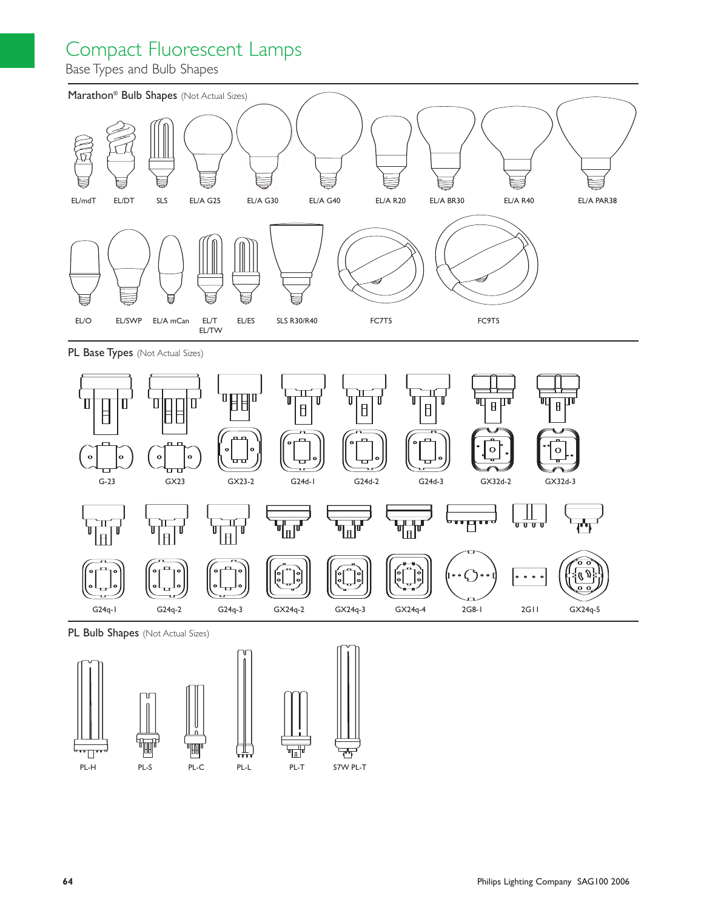### Compact Fluorescent Lamps

Base Types and Bulb Shapes





PL Bulb Shapes (Not Actual Sizes)